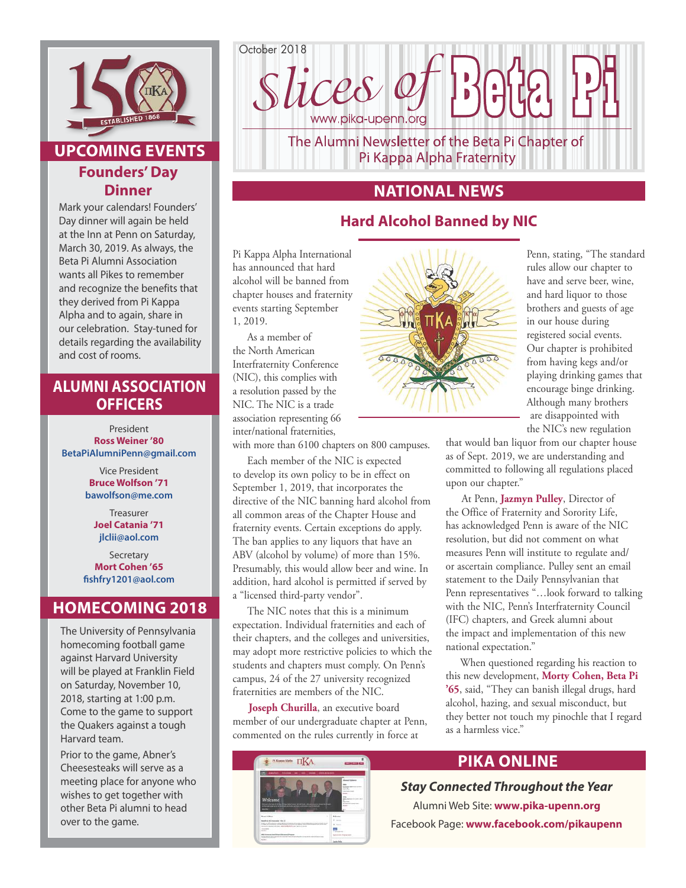

# **UPCOMING EVENTS Founders' Day Dinner**

Mark your calendars! Founders' Day dinner will again be held at the Inn at Penn on Saturday, March 30, 2019. As always, the Beta Pi Alumni Association wants all Pikes to remember and recognize the benefits that they derived from Pi Kappa Alpha and to again, share in our celebration. Stay-tuned for details regarding the availability and cost of rooms.

## **ALUMNI ASSOCIATION OFFICERS**

President **Ross Weiner '80 BetaPiAlumniPenn@gmail.com**

> Vice President **Bruce Wolfson '71 bawolfson@me.com**

> > Treasurer **Joel Catania '71 jlclii@aol.com**

Secretary **Mort Cohen '65 fishfry1201@aol.com**

## **HOMECOMING 2018**

The University of Pennsylvania homecoming football game against Harvard University will be played at Franklin Field on Saturday, November 10, 2018, starting at 1:00 p.m. Come to the game to support the Quakers against a tough Harvard team.

Prior to the game, Abner's Cheesesteaks will serve as a meeting place for anyone who wishes to get together with other Beta Pi alumni to head over to the game.



Pi Kappa Alpha Fraternity

# **NATIONAL NEWS**

# **Hard Alcohol Banned by NIC**

Pi Kappa Alpha International has announced that hard alcohol will be banned from chapter houses and fraternity events starting September 1, 2019.

As a member of the North American Interfraternity Conference (NIC), this complies with a resolution passed by the NIC. The NIC is a trade association representing 66 inter/national fraternities,

with more than 6100 chapters on 800 campuses.

Each member of the NIC is expected to develop its own policy to be in effect on September 1, 2019, that incorporates the directive of the NIC banning hard alcohol from all common areas of the Chapter House and fraternity events. Certain exceptions do apply. The ban applies to any liquors that have an ABV (alcohol by volume) of more than 15%. Presumably, this would allow beer and wine. In addition, hard alcohol is permitted if served by a "licensed third-party vendor".

The NIC notes that this is a minimum expectation. Individual fraternities and each of their chapters, and the colleges and universities, may adopt more restrictive policies to which the students and chapters must comply. On Penn's campus, 24 of the 27 university recognized fraternities are members of the NIC.

Joseph Churilla, an executive board member of our undergraduate chapter at Penn, commented on the rules currently in force at





Penn, stating, "The standard rules allow our chapter to have and serve beer, wine, and hard liquor to those brothers and guests of age in our house during registered social events. Our chapter is prohibited from having kegs and/or playing drinking games that encourage binge drinking. Although many brothers are disappointed with the NIC's new regulation

that would ban liquor from our chapter house as of Sept. 2019, we are understanding and committed to following all regulations placed upon our chapter."

 At Penn, **Jazmyn Pulley**, Director of the Office of Fraternity and Sorority Life, has acknowledged Penn is aware of the NIC resolution, but did not comment on what measures Penn will institute to regulate and/ or ascertain compliance. Pulley sent an email statement to the Daily Pennsylvanian that Penn representatives "…look forward to talking with the NIC, Penn's Interfraternity Council (IFC) chapters, and Greek alumni about the impact and implementation of this new national expectation."

When questioned regarding his reaction to this new development, **Morty Cohen, Beta Pi '65**, said, "They can banish illegal drugs, hard alcohol, hazing, and sexual misconduct, but they better not touch my pinochle that I regard as a harmless vice."

# **PIKA ONLINE**

## *Stay Connected Throughout the Year*

Alumni Web Site: **www.pika-upenn.org** Facebook Page: **www.facebook.com/pikaupenn**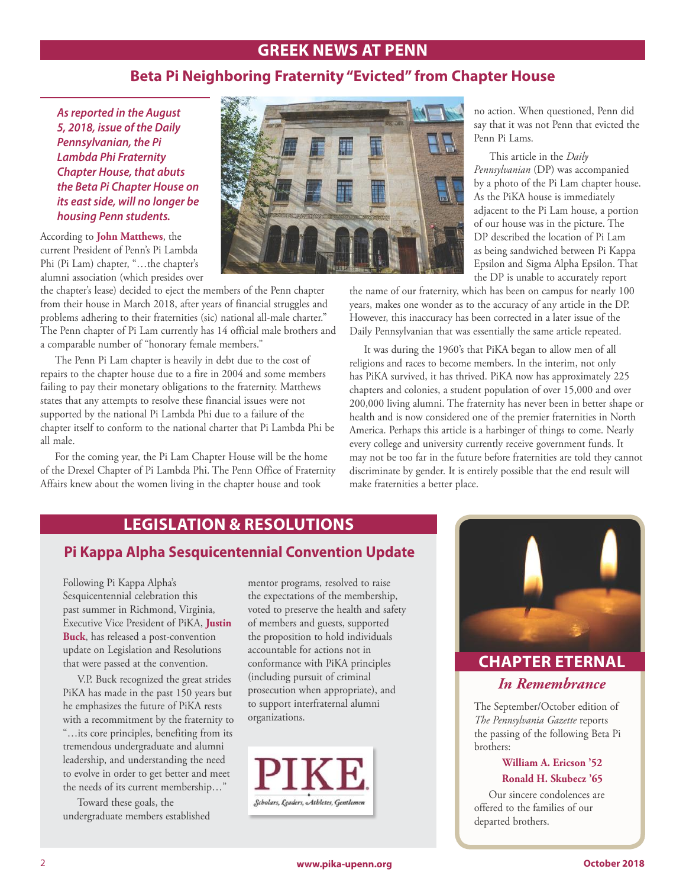## **GREEK NEWS AT PENN**

## **Beta Pi Neighboring Fraternity "Evicted" from Chapter House**

*As reported in the August 5, 2018, issue of the Daily Pennsylvanian, the Pi Lambda Phi Fraternity Chapter House, that abuts the Beta Pi Chapter House on its east side, will no longer be housing Penn students.*

According to **John Matthews**, the current President of Penn's Pi Lambda Phi (Pi Lam) chapter, "…the chapter's alumni association (which presides over

the chapter's lease) decided to eject the members of the Penn chapter from their house in March 2018, after years of financial struggles and problems adhering to their fraternities (sic) national all-male charter." The Penn chapter of Pi Lam currently has 14 official male brothers and a comparable number of "honorary female members."

The Penn Pi Lam chapter is heavily in debt due to the cost of repairs to the chapter house due to a fire in 2004 and some members failing to pay their monetary obligations to the fraternity. Matthews states that any attempts to resolve these financial issues were not supported by the national Pi Lambda Phi due to a failure of the chapter itself to conform to the national charter that Pi Lambda Phi be all male.

For the coming year, the Pi Lam Chapter House will be the home of the Drexel Chapter of Pi Lambda Phi. The Penn Office of Fraternity Affairs knew about the women living in the chapter house and took



no action. When questioned, Penn did say that it was not Penn that evicted the Penn Pi Lams.

 This article in the *Daily Pennsylvanian* (DP) was accompanied by a photo of the Pi Lam chapter house. As the PiKA house is immediately adjacent to the Pi Lam house, a portion of our house was in the picture. The DP described the location of Pi Lam as being sandwiched between Pi Kappa Epsilon and Sigma Alpha Epsilon. That the DP is unable to accurately report

the name of our fraternity, which has been on campus for nearly 100 years, makes one wonder as to the accuracy of any article in the DP. However, this inaccuracy has been corrected in a later issue of the Daily Pennsylvanian that was essentially the same article repeated.

It was during the 1960's that PiKA began to allow men of all religions and races to become members. In the interim, not only has PiKA survived, it has thrived. PiKA now has approximately 225 chapters and colonies, a student population of over 15,000 and over 200,000 living alumni. The fraternity has never been in better shape or health and is now considered one of the premier fraternities in North America. Perhaps this article is a harbinger of things to come. Nearly every college and university currently receive government funds. It may not be too far in the future before fraternities are told they cannot discriminate by gender. It is entirely possible that the end result will make fraternities a better place.

## **LEGISLATION & RESOLUTIONS**

## **Pi Kappa Alpha Sesquicentennial Convention Update**

Following Pi Kappa Alpha's Sesquicentennial celebration this past summer in Richmond, Virginia, Executive Vice President of PiKA, **Justin Buck**, has released a post-convention update on Legislation and Resolutions that were passed at the convention.

V.P. Buck recognized the great strides PiKA has made in the past 150 years but he emphasizes the future of PiKA rests with a recommitment by the fraternity to "…its core principles, benefiting from its tremendous undergraduate and alumni leadership, and understanding the need to evolve in order to get better and meet the needs of its current membership…"

Toward these goals, the undergraduate members established

mentor programs, resolved to raise the expectations of the membership, voted to preserve the health and safety of members and guests, supported the proposition to hold individuals accountable for actions not in conformance with PiKA principles (including pursuit of criminal prosecution when appropriate), and to support interfraternal alumni organizations.





# **CHAPTER ETERNAL**

## *In Remembrance*

The September/October edition of *The Pennsylvania Gazette* reports the passing of the following Beta Pi brothers:

#### **William A. Ericson '52 Ronald H. Skubecz '65**

Our sincere condolences are offered to the families of our departed brothers.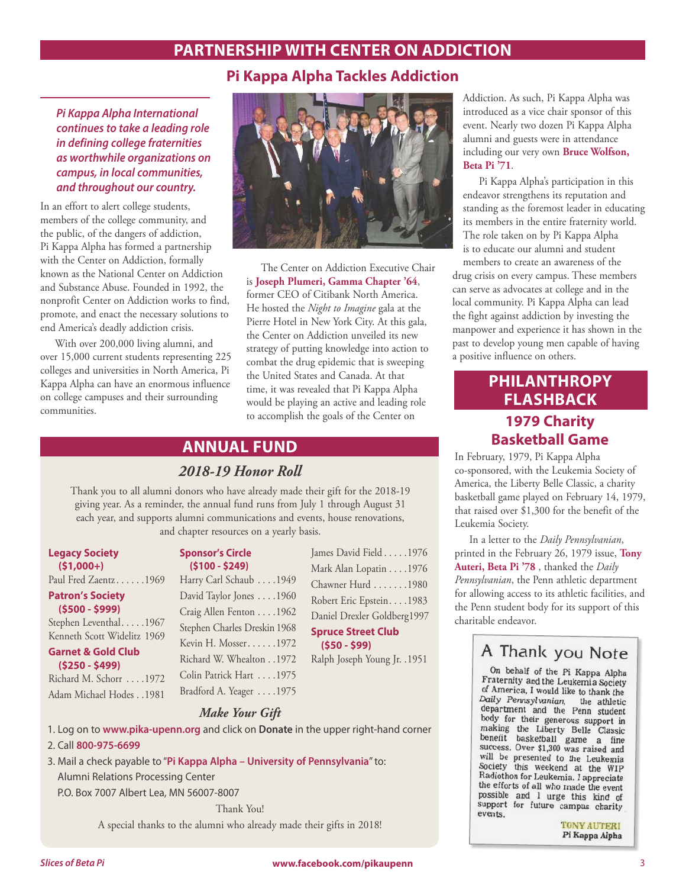# **PARTNERSHIP WITH CENTER ON ADDICTION**

## **Pi Kappa Alpha Tackles Addiction**

*Pi Kappa Alpha International continues to take a leading role in defining college fraternities as worthwhile organizations on campus, in local communities, and throughout our country.*

In an effort to alert college students, members of the college community, and the public, of the dangers of addiction, Pi Kappa Alpha has formed a partnership with the Center on Addiction, formally known as the National Center on Addiction and Substance Abuse. Founded in 1992, the nonprofit Center on Addiction works to find, promote, and enact the necessary solutions to end America's deadly addiction crisis.

With over 200,000 living alumni, and over 15,000 current students representing 225 colleges and universities in North America, Pi Kappa Alpha can have an enormous influence on college campuses and their surrounding communities.



The Center on Addiction Executive Chair is **Joseph Plumeri, Gamma Chapter '64**, former CEO of Citibank North America. He hosted the *Night to Imagine* gala at the Pierre Hotel in New York City. At this gala, the Center on Addiction unveiled its new strategy of putting knowledge into action to combat the drug epidemic that is sweeping the United States and Canada. At that time, it was revealed that Pi Kappa Alpha would be playing an active and leading role to accomplish the goals of the Center on

# **ANNUAL FUND**

## *2018-19 Honor Roll*

Thank you to all alumni donors who have already made their gift for the 2018-19 giving year. As a reminder, the annual fund runs from July 1 through August 31 each year, and supports alumni communications and events, house renovations, and chapter resources on a yearly basis.

**Legacy Society (\$1,000+)**

Paul Fred Zaentz......1969

#### **Patron's Society (\$500 - \$999)**

Stephen Leventhal. . . . . 1967 Kenneth Scott Widelitz 1969

**Garnet & Gold Club (\$250 - \$499)**

Richard M. Schorr . . . . 1972 Adam Michael Hodes . 1981

| <b>Sponsor's Circle</b> |  |
|-------------------------|--|
| $(5100 - 5249)$         |  |

| Harry Carl Schaub 1949       |
|------------------------------|
| David Taylor Jones 1960      |
| Craig Allen Fenton 1962      |
| Stephen Charles Dreskin 1968 |
| Kevin H. Mosser1972          |
| Richard W. Whealton 1972     |
| Colin Patrick Hart 1975      |
| Bradford A. Yeager 1975      |

James David Field . . . . . 1976 Mark Alan Lopatin . . . . 1976 Chawner Hurd . . . . . . . 1980 Robert Eric Epstein. . . . 1983 Daniel Drexler Goldberg 1997 **Spruce Street Club** 

**(\$50 - \$99)**

Ralph Joseph Young Jr. . 1951

#### *Make Your Gift*

1. Log on to **www.pika-upenn.org** and click on **Donate** in the upper right-hand corner

2. Call **800-975-6699**

3. Mail a check payable to "**Pi Kappa Alpha – University of Pennsylvania**" to: Alumni Relations Processing Center P.O. Box 7007 Albert Lea, MN 56007-8007

Thank You!

A special thanks to the alumni who already made their gifts in 2018!

Addiction. As such, Pi Kappa Alpha was introduced as a vice chair sponsor of this event. Nearly two dozen Pi Kappa Alpha alumni and guests were in attendance including our very own **Bruce Wolfson, Beta Pi '71**.

 Pi Kappa Alpha's participation in this endeavor strengthens its reputation and standing as the foremost leader in educating its members in the entire fraternity world. The role taken on by Pi Kappa Alpha is to educate our alumni and student

members to create an awareness of the drug crisis on every campus. These members can serve as advocates at college and in the local community. Pi Kappa Alpha can lead the fight against addiction by investing the manpower and experience it has shown in the past to develop young men capable of having a positive influence on others.

# **PHILANTHROPY FLASHBACK 1979 Charity Basketball Game**

In February, 1979, Pi Kappa Alpha co-sponsored, with the Leukemia Society of America, the Liberty Belle Classic, a charity basketball game played on February 14, 1979, that raised over \$1,300 for the benefit of the Leukemia Society.

In a letter to the *Daily Pennsylvanian*, printed in the February 26, 1979 issue, **Tony Auteri, Beta Pi '78** , thanked the *Daily Pennsylvanian*, the Penn athletic department for allowing access to its athletic facilities, and the Penn student body for its support of this charitable endeavor.

# A Thank you Note

On behalf of the Pi Kappa Alpha<br>Fraternity and the Leukemia Society of America, I would like to thank the Daily Pennsylvanian, the athletic<br>Daily Pennsylvanian, the athletic<br>department and the Penn student body for their generous support in making the Liberty Belle Classic<br>benefit basketball game a fine<br>success. Over \$1,300 was raised and will be presented to the Leukemia Society this weekend at the WIP Radiothon for Leukemia. I appreciate the efforts of all who made the event possible and I urge this kind of support for future campus charity events.

**TONY AUTERI** Pi Kappa Alpha